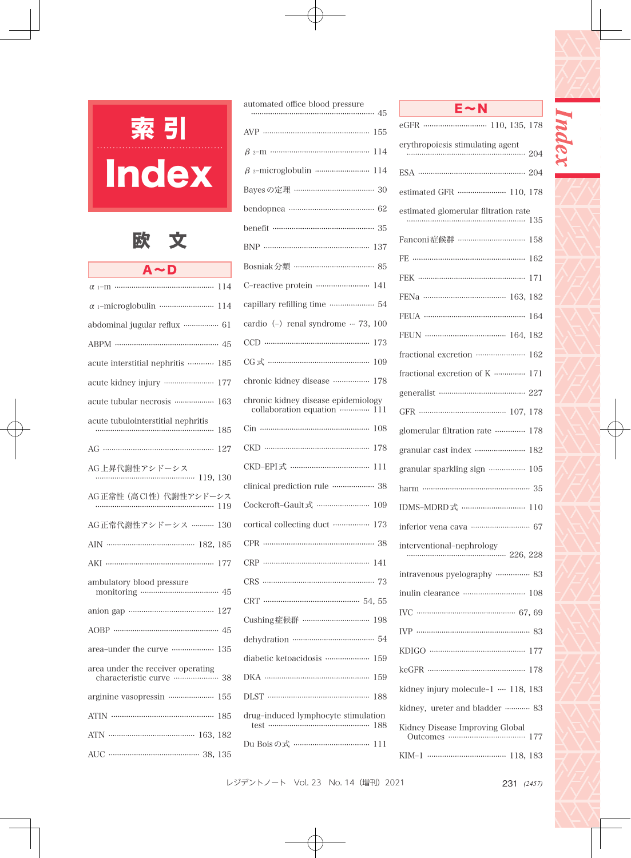

欧 文

 $\overline{\mathbf{A}}$ 

| 114                                       |
|-------------------------------------------|
|                                           |
| abdominal jugular reflux ……………… 61        |
|                                           |
| acute interstitial nephritis ………… 185     |
| acute kidney injury  177                  |
| 163<br>acute tubular necrosis ………………      |
| acute tubulointerstitial nephritis<br>185 |
|                                           |
| AG 上昇代謝性アシドーシス                            |
| AG正常性(高Cl性)代謝性アシドーシス                      |
| AG 正常代謝性アシドーシス ………… 130                   |
|                                           |
| AKI ………………………………………… 177                  |
|                                           |
| anion gap ……………………………… 127                |
|                                           |
| area-under the curve  135                 |
| area under the receiver operating         |
| arginine vasopressin  155                 |
| 185                                       |
|                                           |
|                                           |

| automated office blood pressure<br>… 45                              |
|----------------------------------------------------------------------|
| 155                                                                  |
| 114                                                                  |
| 114                                                                  |
| Bayesの定理 ……………………………<br>30                                           |
| 62                                                                   |
| 35                                                                   |
| BNP ………………………………………… 137                                             |
| Bosniak分類 ……………………………<br>-85                                         |
| C-reactive protein …………………… 141                                      |
| capillary refilling time<br>-54                                      |
| cardio (-) renal syndrome --- 73, 100                                |
| 173                                                                  |
| 109                                                                  |
| chronic kidney disease<br>178                                        |
| chronic kidney disease epidemiology<br>collaboration equation<br>111 |
| 108                                                                  |
| 178                                                                  |
| CKD-EPI 式 ……………………………<br>111                                         |
| clinical prediction rule ·················· 38                       |
| Cockcroft-Gault式 …………………… 109                                        |
| cortical collecting duct ……………… 173                                  |
|                                                                      |
| 141                                                                  |
|                                                                      |
|                                                                      |
| Cushing症候群 …………………………… 198                                           |
|                                                                      |
| diabetic ketoacidosis  159                                           |
| DKA ………………………………………… 159                                             |
|                                                                      |
| drug–induced lymphocyte stimulation<br>188                           |
| Du Boisの式 …………………………… 111                                            |

| $E \sim N$                                       |
|--------------------------------------------------|
|                                                  |
| erythropoiesis stimulating agent<br>$\cdots$ 204 |
|                                                  |
| estimated GFR ………………… 110, 178                   |
| estimated glomerular filtration rate<br>135      |
| Fanconi症候群 ………………………… 158                        |
| 162                                              |
| FEK …………………………………………<br>171                      |
| FENa ……………………………… 163,<br>182                    |
| 164                                              |
| 182                                              |
| fractional excretion<br>162                      |
| fractional excretion of K<br>171                 |
| 227                                              |
|                                                  |
| glomerular filtration rate ………….<br>178          |
| granular cast index  182                         |
| granular sparkling sign  105                     |
|                                                  |
| IDMS-MDRD式 ……………………… 110                         |
|                                                  |
| interventional-nephrology<br>226, 228            |
| intravenous pyelography  83                      |
|                                                  |
|                                                  |
|                                                  |
| KDIGO …………………………………… 177                         |
|                                                  |
| kidney injury molecule–1 … 118, 183              |
| kidney, ureter and bladder ………… 83               |
| Kidney Disease Improving Global<br>177           |
|                                                  |

Inde.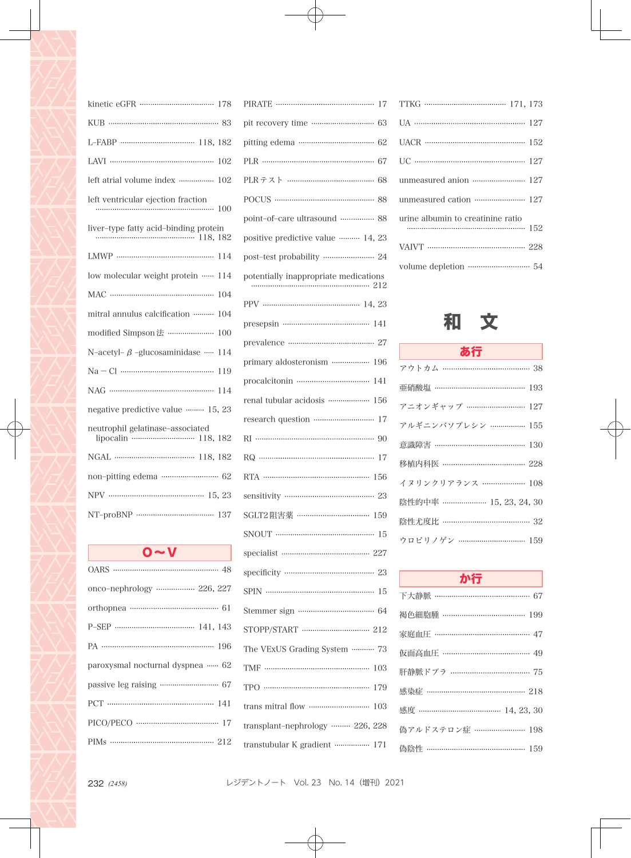| kinetic eGFR ------------------------------- 178 |
|--------------------------------------------------|
|                                                  |
|                                                  |
|                                                  |
| left atrial volume index ……………… 102              |
|                                                  |
|                                                  |
| LMWP …………………………………… 114                          |
| low molecular weight protein  114                |
|                                                  |
| mitral annulus calcification ……… 104             |
| modified Simpson法 ………………… 100                    |
| N-acetyl-β-glucosaminidase … 114                 |
|                                                  |
|                                                  |
| negative predictive value  15, 23                |
|                                                  |
|                                                  |
| non-pitting edema ………………………… 62                  |
|                                                  |
| NT-proBNP ……………………………… 137                       |
| <b>Contract Contract</b><br>$0 \sim V$           |
|                                                  |
| onco-nephrology  226, 227                        |
|                                                  |
|                                                  |
|                                                  |

PA 196 paroxysmal nocturnal dyspnea 62 passive leg raising 67 PCT 141 PICO/PECO 17 PIMs 212

| PIRATE ……………………………………<br>17           |
|---------------------------------------|
|                                       |
|                                       |
|                                       |
| PLRテスト ………………………………… 68               |
|                                       |
| point-of-care ultrasound …………… 88     |
| positive predictive value ……… 14, 23  |
| post-test probability …………………… 24     |
| potentially inappropriate medications |
| PPV ……………………………………… 14, 23            |
| presepsin ………………………………… 141           |
|                                       |
| primary aldosteronism ……………… 196      |
| 141                                   |
| renal tubular acidosis ………………… 156    |
| 17                                    |
|                                       |
| 17                                    |
| RTA ……………………………………………… 156            |
|                                       |
| SGLT2 阻害薬 …………………………… 159             |
| 15                                    |
| specialist ………………………………… 227          |
|                                       |
| SPIN ……………………………………………<br>15          |
|                                       |
|                                       |
| The VExUS Grading System  73          |
| TMF …………………………………………<br>103           |
| 179                                   |
| 103                                   |
| transplant-nephrology  226, 228       |
| transtubular K gradient …………… 171     |
|                                       |

| unmeasured anion …………………… 127     |  |
|-----------------------------------|--|
| unmeasured cation …………………… 127    |  |
| urine albumin to creatinine ratio |  |
|                                   |  |
|                                   |  |



| <b>あ行</b>                    |  |
|------------------------------|--|
| アウトカム ………………………………… 38       |  |
| 亜硝酸塩 ………………………………… 193       |  |
| アニオンギャップ ……………………… 127       |  |
| アルギニンバソプレシン …………… 155        |  |
| 意識障害 ………………………………… 130       |  |
| 移植内科医 ……………………………… 228       |  |
| イヌリンクリアランス ……………… 108        |  |
| 陰性的中率 ………………… 15, 23, 24, 30 |  |
| 陰性尤度比 ………………………………… 32       |  |
| ウロビリノゲン …………………………… 159      |  |

| か行                          |
|-----------------------------|
| 下大静脈 …………………………………… 67      |
| 褐色細胞腫 ……………………………… 199      |
| 家庭血圧 …………………………………… 47      |
| 仮面高血圧 ………………………………… 49      |
| 肝静脈ドプラ …………………………… 75       |
| 感染症 ……………………………………… 218     |
| 感度 ………………………………… 14, 23, 30 |
| 偽アルドステロン症 …………………… 198      |
| 偽陰性 …………………………………… 159      |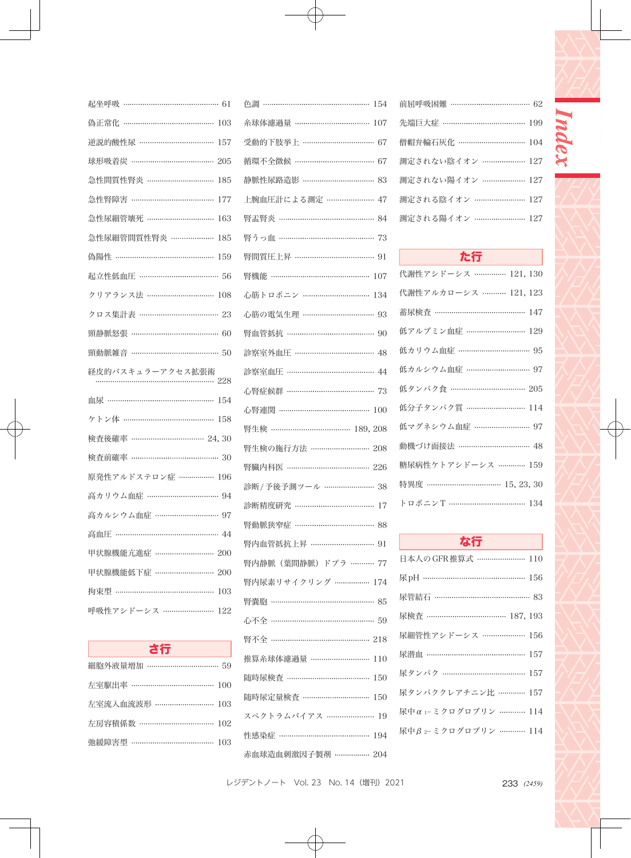| 起坐呼吸 …………………………………… 61                        |
|-----------------------------------------------|
| 偽正常化 ………………………………… 103                        |
| 逆説的酸性尿 …………………………<br>157                      |
| 球形吸着炭 ……………………………… 205                        |
| 急性間質性腎炎 …………………………<br>185                     |
| 急性腎障害 ………………………………<br>177                     |
| 急性尿細管壊死 …………………………<br>163                     |
| 急性尿細管間質性腎炎 ………………<br>185                      |
| 偽陽性 ……………………………………<br>159                     |
| 起立性低血圧 ……………………………… 56                        |
| クリアランス法 --------------------------------- 108 |
| クロス集計表 ……………………………… 23                        |
| 頸静脈怒張 ………………………………… 60                        |
| 頸動脈雑音 ……………………………… 50                         |
|                                               |
| 228                                           |
| 血尿 ……………………………………… 154                        |
| ケトン体 …………………………………… 158                       |
| 検査後確率 …………………………… 24, 30                      |
| 検査前確率 ………………………………… 30                        |
| 原発性アルドステロン症 ……………… 196                        |
| 高カリウム血症 …………………………… 94                        |
| 高カルシウム血症 ………………………… 97                        |
| 高血圧 ……………………………………… 44                        |
| 甲状腺機能亢進症 ……………………… 200                        |
| 甲状腺機能低下症 ……………………… 200                        |
| 拘束型 ……………………………………… 103                       |
| 呼吸性アシドーシス ……………………<br>122                     |

| さ行                     |  |
|------------------------|--|
| 細胞外液量増加                |  |
| 左室駅出率 ……………………………… 100 |  |
| 左室流入血流波形 ……………………… 103 |  |
| 左房容積係数 …………………………… 102 |  |
| 弛緩障害型 ……………………………… 103 |  |

| 色調 ………………………………………… 154   |
|---------------------------|
| 糸球体濾過量 …………………………… 107    |
| 受動的下肢挙上 ………………………… 67     |
| 循環不全徵候 ……………………………… 67    |
| 静脈性尿路造影 ………………………… 83     |
| 上腕血圧計による測定 ………………… 47     |
| 腎盂腎炎 …………………………………… 84    |
| 腎うっ血 …………………………………… 73    |
| 腎間質圧上昇 ……………………………… 91    |
| 腎機能 …………………………………… 107    |
| 心筋トロポニン ………………………… 134    |
| 心筋の電気生理 …………………………… 93    |
| 腎血管抵抗 ………………………………… 90    |
| 診察室外血圧 …………………………… 48     |
| 診察室血圧 ……………………………… 44     |
| 心腎症候群 ………………………………… 73    |
| 心腎連関 …………………………………<br>100 |
| 腎生検 ……………………………… 189, 208 |
| 腎生検の施行方法 ……………………… 208    |
| 腎臓内科医 ……………………………… 226    |
| 診断/予後予測ツール …………………… 38    |
| 診断精度研究 …………………………… 17     |
| 腎動脈狭窄症 …………………………… 88     |
| 腎内血管抵抗上昇 ………………………… 91    |
| 腎内静脈(葉間静脈)ドプラ ………<br>77   |
| 腎内尿素リサイクリング …………… 174     |
| 腎囊胞 ……………………………………… 85    |
| 心不全 ………………………………………… 59   |
| 腎不全 ……………………………………… 218   |
| 推算糸球体濾過量 ……………………… 110    |
| 随時尿検査 ……………………………… 150    |
| 随時尿定量検査 …………………………… 150   |
| スペクトラムバイアス ………………… 19     |
| 性感染症 ………………………………… 194    |
| 赤血球造血刺激因子製剤 …………… 204     |

| 前屈呼吸困難 ……………………………… 62 |  |
|------------------------|--|
| 先端巨大症 ……………………………… 199 |  |
| 僧帽弁輪石灰化 ………………………… 104 |  |
| 測定されない陰イオン ……………… 127  |  |
| 測定されない陽イオン ………………… 127 |  |
| 測定される陰イオン …………………… 127 |  |
| 測定される陽イオン …………………… 127 |  |

Index

| た行                         |
|----------------------------|
| 代謝性アシドーシス …………… 121, 130   |
| 代謝性アルカローシス ………… 121, 123   |
| 蓄尿検査 ………………………………… 147     |
| 低アルブミン血症 ……………………… 129     |
| 低カリウム血症 …………………………… 95     |
| 低カルシウム血症 ………………………… 97     |
| 低タンパク食 …………………………… 205     |
| 低分子タンパク質 ……………………… 114     |
| 低マグネシウム血症 …………………… 97      |
| 動機づけ面接法 ………………………… 48      |
| 糖尿病性ケトアシドーシス ………… 159      |
| 特異度 …………………………… 15, 23, 30 |
| トロポニンT …………………………… 134     |

| な行<br>――                  |  |
|---------------------------|--|
| 日本人の GFR 推算式 ………………… 110  |  |
| 尿pH ……………………………………… 156   |  |
| 尿管結石 …………………………………… 83    |  |
| 尿検査 ……………………………… 187, 193 |  |
| 尿細管性アシドーシス ……………… 156     |  |
| 尿潜血 …………………………………… 157    |  |
| 尿タンパク ……………………………… 157    |  |
| 尿タンパククレアチニン比 ………… 157     |  |
| 尿中α1-ミクログロブリン ………… 114    |  |
| 尿中β2-ミクログロブリン ………… 114    |  |